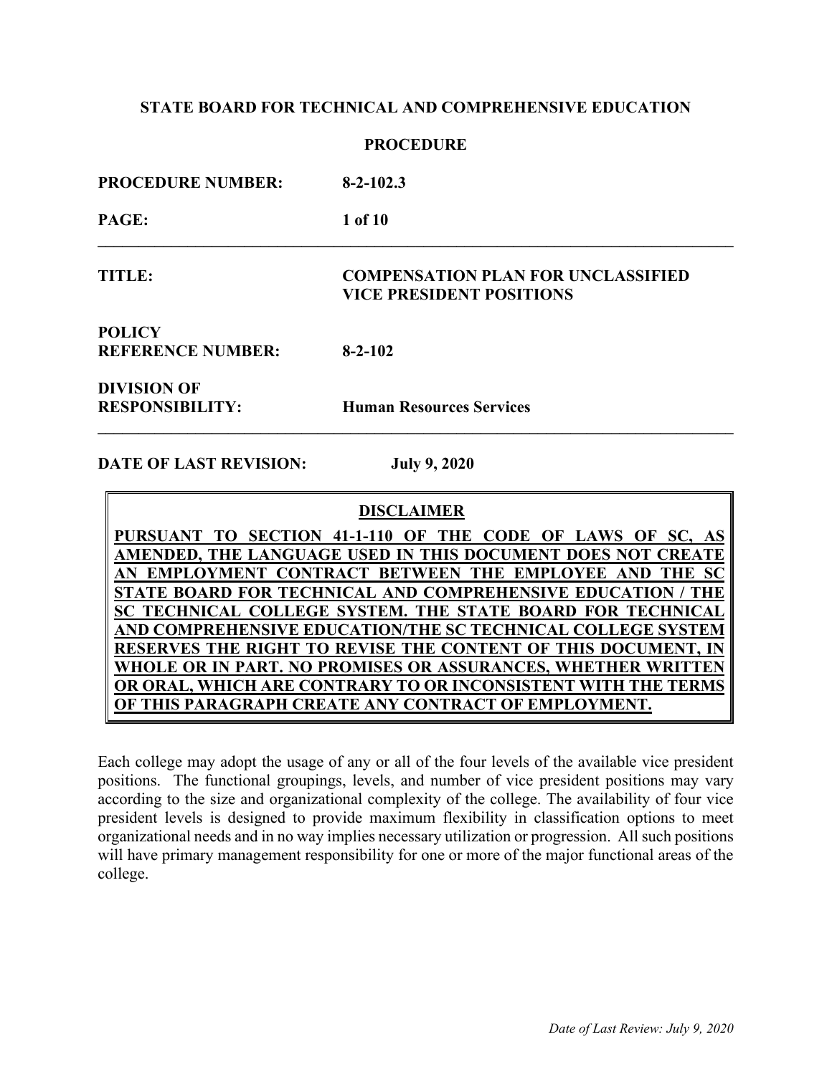### **PROCEDURE**

| <b>PROCEDURE NUMBER:</b>                     | $8 - 2 - 102.3$                                                              |
|----------------------------------------------|------------------------------------------------------------------------------|
| PAGE:                                        | 1 of 10                                                                      |
| <b>TITLE:</b>                                | <b>COMPENSATION PLAN FOR UNCLASSIFIED</b><br><b>VICE PRESIDENT POSITIONS</b> |
| <b>POLICY</b><br><b>REFERENCE NUMBER:</b>    | $8 - 2 - 102$                                                                |
| <b>DIVISION OF</b><br><b>RESPONSIBILITY:</b> | <b>Human Resources Services</b>                                              |

**DATE OF LAST REVISION: July 9, 2020**

|  | <b>DISCLAIMER</b> |
|--|-------------------|
|--|-------------------|

**PURSUANT TO SECTION 41-1-110 OF THE CODE OF LAWS OF SC, AS AMENDED, THE LANGUAGE USED IN THIS DOCUMENT DOES NOT CREATE**  AN EMPLOYMENT CONTRACT BETWEEN THE EMPLOYEE AND THE **STATE BOARD FOR TECHNICAL AND COMPREHENSIVE EDUCATION / THE TECHNICAL COLLEGE SYSTEM. THE STATE BOARD FOR TECHNICAL AND COMPREHENSIVE EDUCATION/THE SC TECHNICAL COLLEGE SYSTEM RESERVES THE RIGHT TO REVISE THE CONTENT OF THIS DOCUMENT. WHOLE OR IN PART. NO PROMISES OR ASSURANCES, WHETHER WRITTEN OR ORAL, WHICH ARE CONTRARY TO OR INCONSISTENT WITH THE TERMS OF THIS PARAGRAPH CREATE ANY CONTRACT OF EMPLOYMENT.**

Each college may adopt the usage of any or all of the four levels of the available vice president positions. The functional groupings, levels, and number of vice president positions may vary according to the size and organizational complexity of the college. The availability of four vice president levels is designed to provide maximum flexibility in classification options to meet organizational needs and in no way implies necessary utilization or progression. All such positions will have primary management responsibility for one or more of the major functional areas of the college.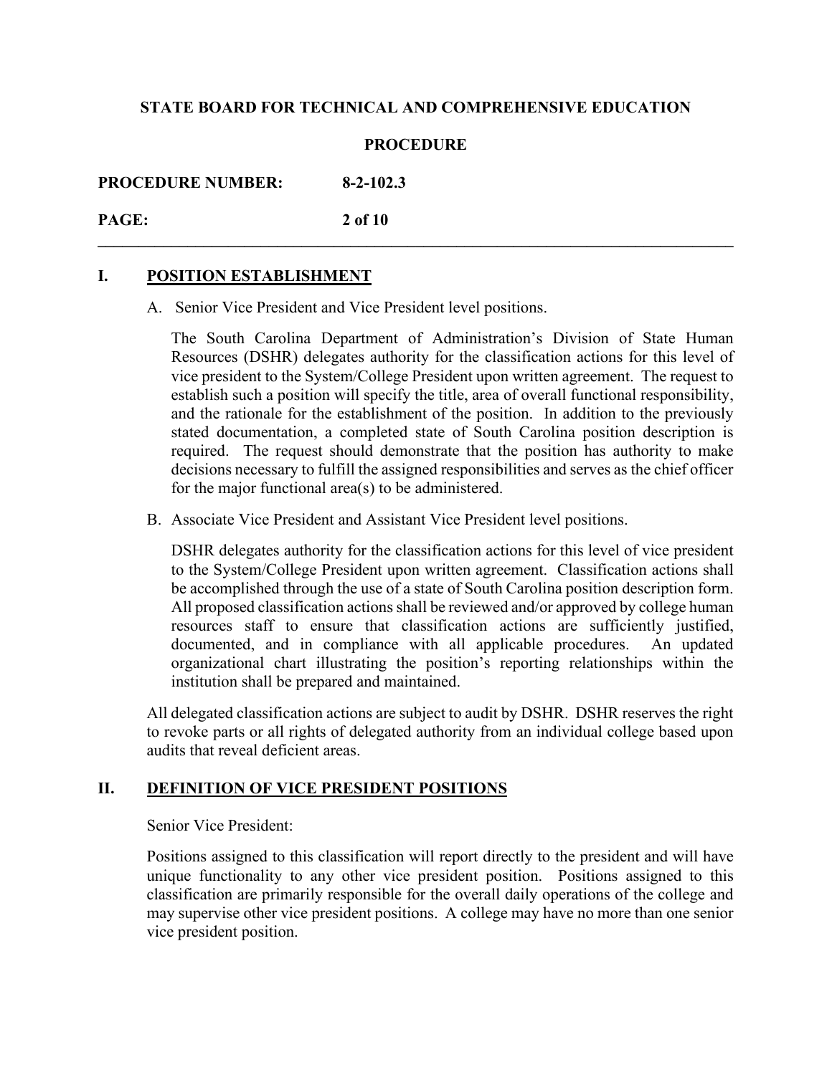## **PROCEDURE**

**\_\_\_\_\_\_\_\_\_\_\_\_\_\_\_\_\_\_\_\_\_\_\_\_\_\_\_\_\_\_\_\_\_\_\_\_\_\_\_\_\_\_\_\_\_\_\_\_\_\_\_\_\_\_\_\_\_\_\_\_\_\_\_\_\_\_\_\_\_\_\_\_\_\_\_\_\_\_**

**PROCEDURE NUMBER: 8-2-102.3**

# **PAGE: 2 of 10**

# **I. POSITION ESTABLISHMENT**

A. Senior Vice President and Vice President level positions.

The South Carolina Department of Administration's Division of State Human Resources (DSHR) delegates authority for the classification actions for this level of vice president to the System/College President upon written agreement. The request to establish such a position will specify the title, area of overall functional responsibility, and the rationale for the establishment of the position. In addition to the previously stated documentation, a completed state of South Carolina position description is required. The request should demonstrate that the position has authority to make decisions necessary to fulfill the assigned responsibilities and serves as the chief officer for the major functional area(s) to be administered.

B. Associate Vice President and Assistant Vice President level positions.

DSHR delegates authority for the classification actions for this level of vice president to the System/College President upon written agreement. Classification actions shall be accomplished through the use of a state of South Carolina position description form. All proposed classification actions shall be reviewed and/or approved by college human resources staff to ensure that classification actions are sufficiently justified, documented, and in compliance with all applicable procedures. An updated organizational chart illustrating the position's reporting relationships within the institution shall be prepared and maintained.

All delegated classification actions are subject to audit by DSHR. DSHR reserves the right to revoke parts or all rights of delegated authority from an individual college based upon audits that reveal deficient areas.

# **II. DEFINITION OF VICE PRESIDENT POSITIONS**

#### Senior Vice President:

Positions assigned to this classification will report directly to the president and will have unique functionality to any other vice president position. Positions assigned to this classification are primarily responsible for the overall daily operations of the college and may supervise other vice president positions. A college may have no more than one senior vice president position.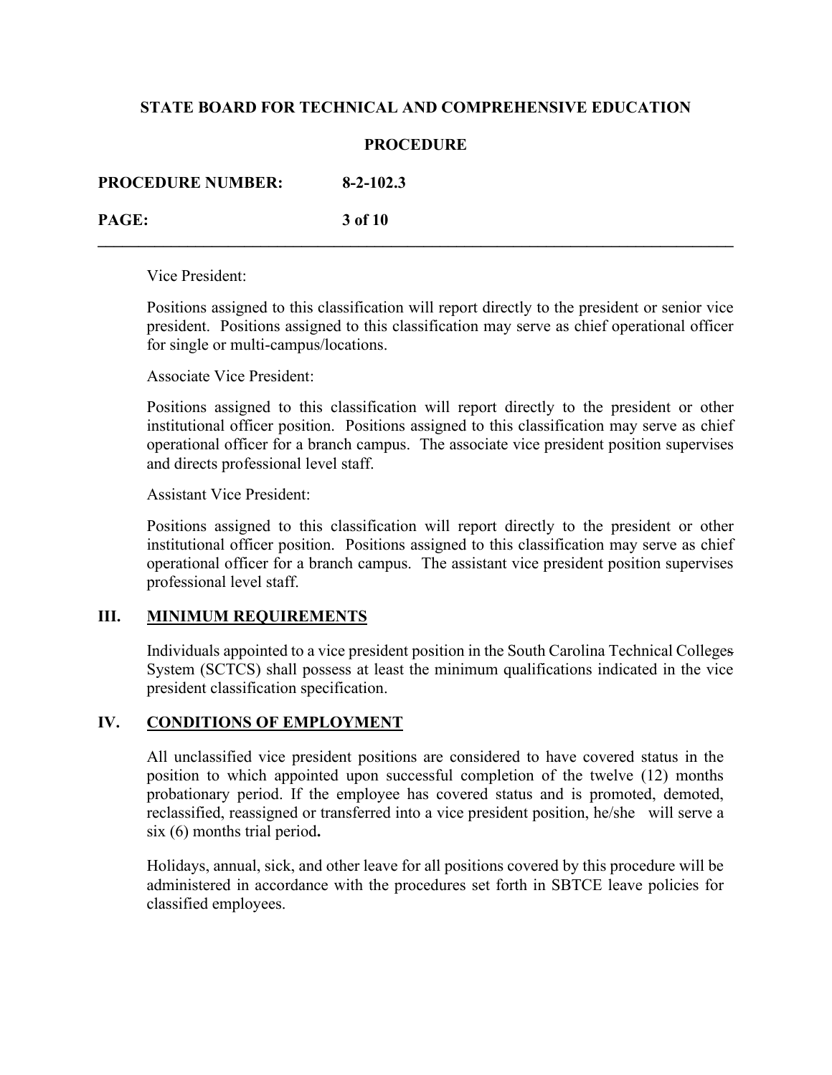## **PROCEDURE**

**\_\_\_\_\_\_\_\_\_\_\_\_\_\_\_\_\_\_\_\_\_\_\_\_\_\_\_\_\_\_\_\_\_\_\_\_\_\_\_\_\_\_\_\_\_\_\_\_\_\_\_\_\_\_\_\_\_\_\_\_\_\_\_\_\_\_\_\_\_\_\_\_\_\_\_\_\_\_**

| <b>PROCEDURE NUMBER:</b> | $8 - 2 - 102.3$ |
|--------------------------|-----------------|
|                          |                 |

**PAGE: 3 of 10**

Vice President:

Positions assigned to this classification will report directly to the president or senior vice president. Positions assigned to this classification may serve as chief operational officer for single or multi-campus/locations.

Associate Vice President:

Positions assigned to this classification will report directly to the president or other institutional officer position. Positions assigned to this classification may serve as chief operational officer for a branch campus. The associate vice president position supervises and directs professional level staff.

Assistant Vice President:

Positions assigned to this classification will report directly to the president or other institutional officer position. Positions assigned to this classification may serve as chief operational officer for a branch campus. The assistant vice president position supervises professional level staff.

# **III. MINIMUM REQUIREMENTS**

Individuals appointed to a vice president position in the South Carolina Technical Colleges System (SCTCS) shall possess at least the minimum qualifications indicated in the vice president classification specification.

# **IV. CONDITIONS OF EMPLOYMENT**

All unclassified vice president positions are considered to have covered status in the position to which appointed upon successful completion of the twelve (12) months probationary period. If the employee has covered status and is promoted, demoted, reclassified, reassigned or transferred into a vice president position, he/she will serve a six (6) months trial period**.**

Holidays, annual, sick, and other leave for all positions covered by this procedure will be administered in accordance with the procedures set forth in SBTCE leave policies for classified employees.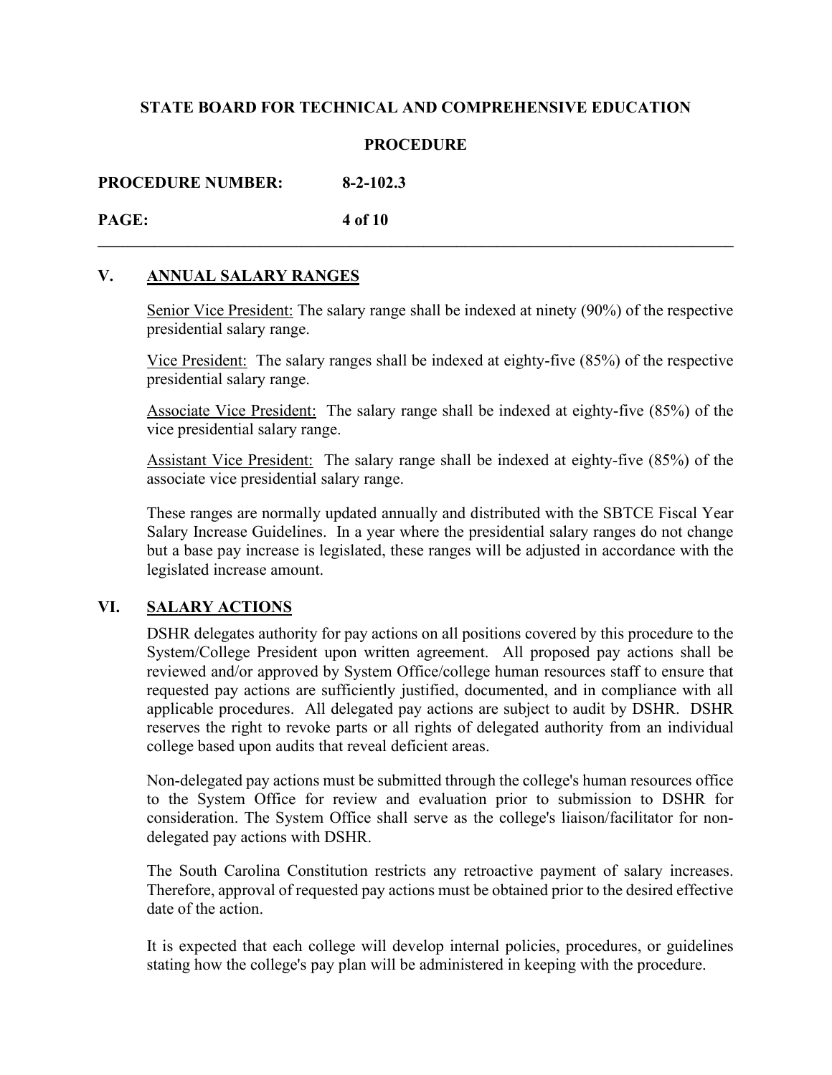## **PROCEDURE**

**\_\_\_\_\_\_\_\_\_\_\_\_\_\_\_\_\_\_\_\_\_\_\_\_\_\_\_\_\_\_\_\_\_\_\_\_\_\_\_\_\_\_\_\_\_\_\_\_\_\_\_\_\_\_\_\_\_\_\_\_\_\_\_\_\_\_\_\_\_\_\_\_\_\_\_\_\_\_**

**PROCEDURE NUMBER: 8-2-102.3**

# **PAGE: 4 of 10**

# **V. ANNUAL SALARY RANGES**

Senior Vice President: The salary range shall be indexed at ninety (90%) of the respective presidential salary range.

Vice President: The salary ranges shall be indexed at eighty-five (85%) of the respective presidential salary range.

Associate Vice President: The salary range shall be indexed at eighty-five (85%) of the vice presidential salary range.

Assistant Vice President: The salary range shall be indexed at eighty-five (85%) of the associate vice presidential salary range.

These ranges are normally updated annually and distributed with the SBTCE Fiscal Year Salary Increase Guidelines. In a year where the presidential salary ranges do not change but a base pay increase is legislated, these ranges will be adjusted in accordance with the legislated increase amount.

# **VI. SALARY ACTIONS**

DSHR delegates authority for pay actions on all positions covered by this procedure to the System/College President upon written agreement. All proposed pay actions shall be reviewed and/or approved by System Office/college human resources staff to ensure that requested pay actions are sufficiently justified, documented, and in compliance with all applicable procedures. All delegated pay actions are subject to audit by DSHR. DSHR reserves the right to revoke parts or all rights of delegated authority from an individual college based upon audits that reveal deficient areas.

Non-delegated pay actions must be submitted through the college's human resources office to the System Office for review and evaluation prior to submission to DSHR for consideration. The System Office shall serve as the college's liaison/facilitator for nondelegated pay actions with DSHR.

The South Carolina Constitution restricts any retroactive payment of salary increases. Therefore, approval of requested pay actions must be obtained prior to the desired effective date of the action.

It is expected that each college will develop internal policies, procedures, or guidelines stating how the college's pay plan will be administered in keeping with the procedure.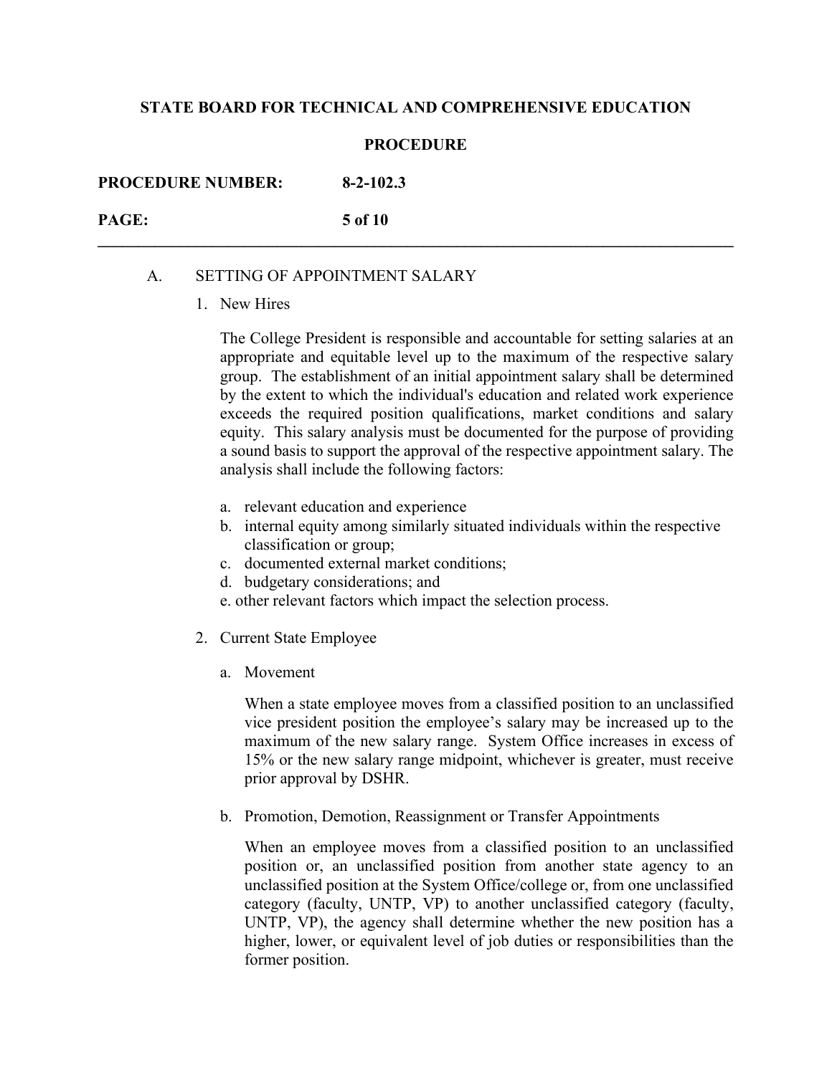#### **PROCEDURE**

**\_\_\_\_\_\_\_\_\_\_\_\_\_\_\_\_\_\_\_\_\_\_\_\_\_\_\_\_\_\_\_\_\_\_\_\_\_\_\_\_\_\_\_\_\_\_\_\_\_\_\_\_\_\_\_\_\_\_\_\_\_\_\_\_\_\_\_\_\_\_\_\_\_\_\_\_\_\_**

**PROCEDURE NUMBER: 8-2-102.3**

**PAGE: 5 of 10**

### A. SETTING OF APPOINTMENT SALARY

1. New Hires

The College President is responsible and accountable for setting salaries at an appropriate and equitable level up to the maximum of the respective salary group. The establishment of an initial appointment salary shall be determined by the extent to which the individual's education and related work experience exceeds the required position qualifications, market conditions and salary equity. This salary analysis must be documented for the purpose of providing a sound basis to support the approval of the respective appointment salary. The analysis shall include the following factors:

- a. relevant education and experience
- b. internal equity among similarly situated individuals within the respective classification or group;
- c. documented external market conditions;
- d. budgetary considerations; and
- e. other relevant factors which impact the selection process.
- 2. Current State Employee
	- a. Movement

When a state employee moves from a classified position to an unclassified vice president position the employee's salary may be increased up to the maximum of the new salary range. System Office increases in excess of 15% or the new salary range midpoint, whichever is greater, must receive prior approval by DSHR.

b. Promotion, Demotion, Reassignment or Transfer Appointments

When an employee moves from a classified position to an unclassified position or, an unclassified position from another state agency to an unclassified position at the System Office/college or, from one unclassified category (faculty, UNTP, VP) to another unclassified category (faculty, UNTP, VP), the agency shall determine whether the new position has a higher, lower, or equivalent level of job duties or responsibilities than the former position.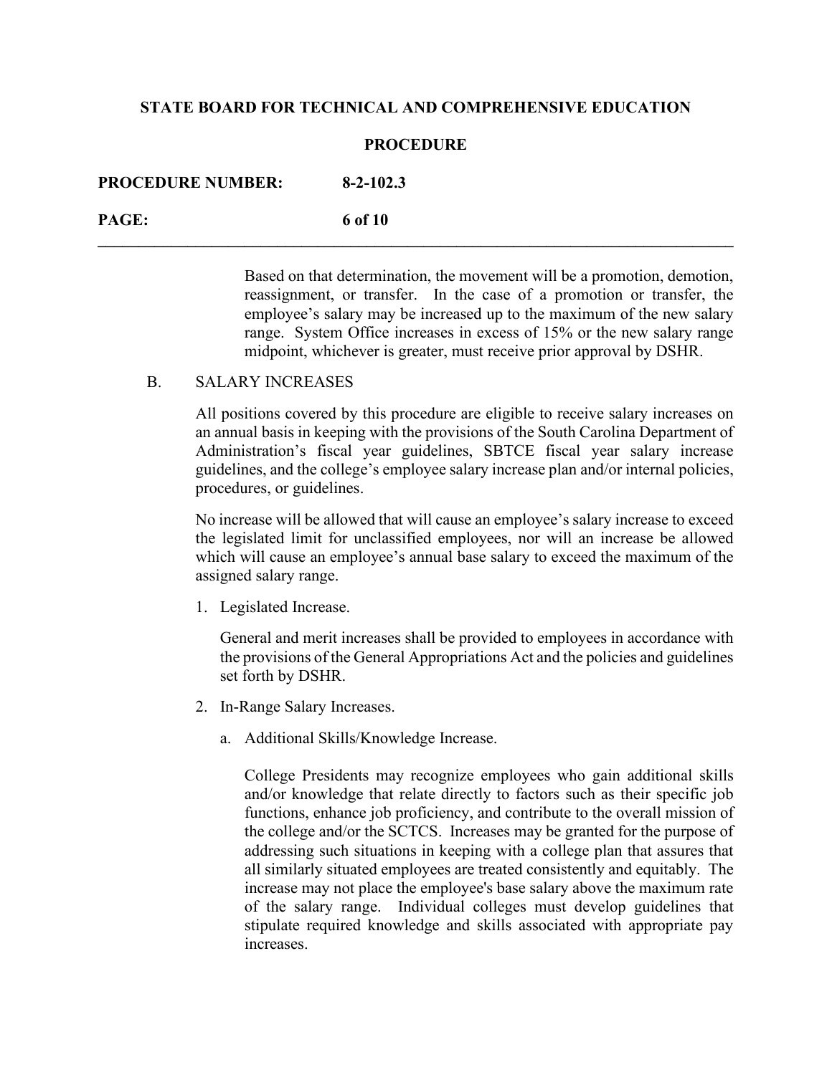#### **PROCEDURE**

**\_\_\_\_\_\_\_\_\_\_\_\_\_\_\_\_\_\_\_\_\_\_\_\_\_\_\_\_\_\_\_\_\_\_\_\_\_\_\_\_\_\_\_\_\_\_\_\_\_\_\_\_\_\_\_\_\_\_\_\_\_\_\_\_\_\_\_\_\_\_\_\_\_\_\_\_\_\_**

| <b>PROCEDURE NUMBER:</b> | $8 - 2 - 102.3$ |
|--------------------------|-----------------|
| PAGE:                    | 6 of 10         |

Based on that determination, the movement will be a promotion, demotion, reassignment, or transfer. In the case of a promotion or transfer, the employee's salary may be increased up to the maximum of the new salary range. System Office increases in excess of 15% or the new salary range midpoint, whichever is greater, must receive prior approval by DSHR.

# B. SALARY INCREASES

All positions covered by this procedure are eligible to receive salary increases on an annual basis in keeping with the provisions of the South Carolina Department of Administration's fiscal year guidelines, SBTCE fiscal year salary increase guidelines, and the college's employee salary increase plan and/or internal policies, procedures, or guidelines.

No increase will be allowed that will cause an employee's salary increase to exceed the legislated limit for unclassified employees, nor will an increase be allowed which will cause an employee's annual base salary to exceed the maximum of the assigned salary range.

1. Legislated Increase.

General and merit increases shall be provided to employees in accordance with the provisions of the General Appropriations Act and the policies and guidelines set forth by DSHR.

- 2. In-Range Salary Increases.
	- a. Additional Skills/Knowledge Increase.

College Presidents may recognize employees who gain additional skills and/or knowledge that relate directly to factors such as their specific job functions, enhance job proficiency, and contribute to the overall mission of the college and/or the SCTCS. Increases may be granted for the purpose of addressing such situations in keeping with a college plan that assures that all similarly situated employees are treated consistently and equitably. The increase may not place the employee's base salary above the maximum rate of the salary range. Individual colleges must develop guidelines that stipulate required knowledge and skills associated with appropriate pay increases.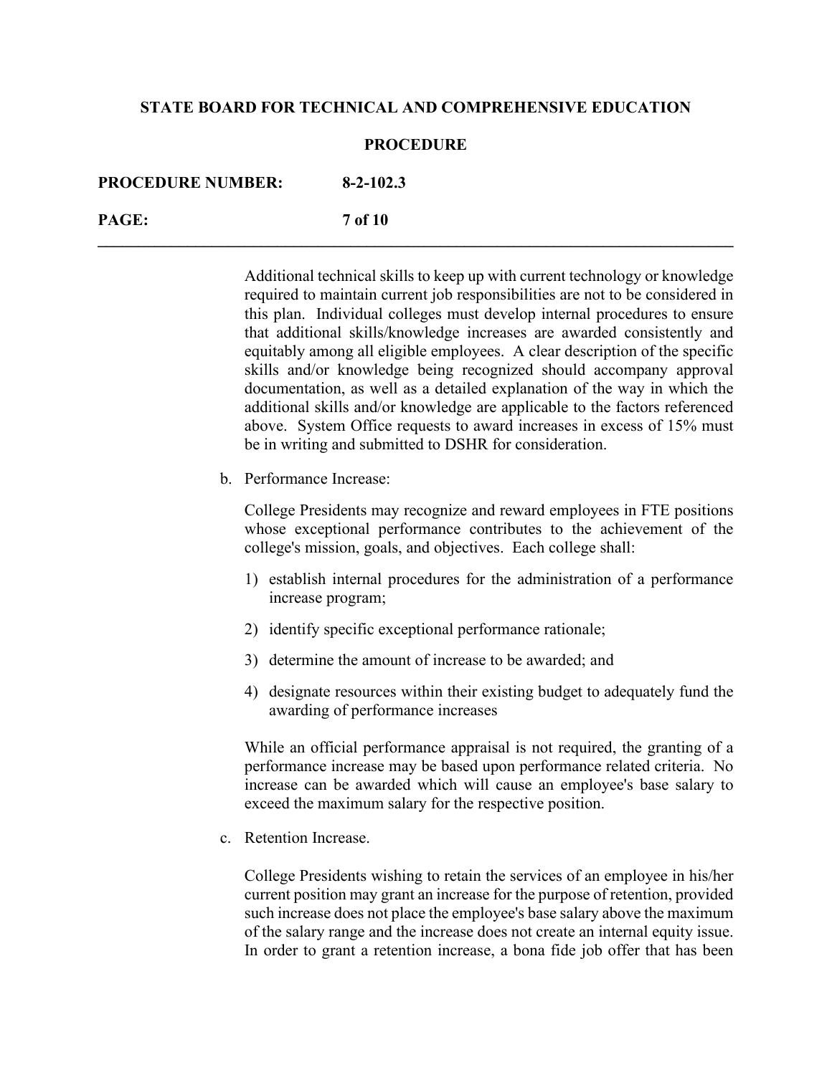#### **PROCEDURE**

**\_\_\_\_\_\_\_\_\_\_\_\_\_\_\_\_\_\_\_\_\_\_\_\_\_\_\_\_\_\_\_\_\_\_\_\_\_\_\_\_\_\_\_\_\_\_\_\_\_\_\_\_\_\_\_\_\_\_\_\_\_\_\_\_\_\_\_\_\_\_\_\_\_\_\_\_\_\_**

| <b>PROCEDURE NUMBER:</b> | $8 - 2 - 102.3$ |
|--------------------------|-----------------|
| PAGE:                    | <b>7</b> of 10  |

Additional technical skills to keep up with current technology or knowledge required to maintain current job responsibilities are not to be considered in this plan. Individual colleges must develop internal procedures to ensure that additional skills/knowledge increases are awarded consistently and equitably among all eligible employees. A clear description of the specific skills and/or knowledge being recognized should accompany approval documentation, as well as a detailed explanation of the way in which the additional skills and/or knowledge are applicable to the factors referenced above. System Office requests to award increases in excess of 15% must be in writing and submitted to DSHR for consideration.

b. Performance Increase:

College Presidents may recognize and reward employees in FTE positions whose exceptional performance contributes to the achievement of the college's mission, goals, and objectives. Each college shall:

- 1) establish internal procedures for the administration of a performance increase program;
- 2) identify specific exceptional performance rationale;
- 3) determine the amount of increase to be awarded; and
- 4) designate resources within their existing budget to adequately fund the awarding of performance increases

While an official performance appraisal is not required, the granting of a performance increase may be based upon performance related criteria. No increase can be awarded which will cause an employee's base salary to exceed the maximum salary for the respective position.

c. Retention Increase.

College Presidents wishing to retain the services of an employee in his/her current position may grant an increase for the purpose of retention, provided such increase does not place the employee's base salary above the maximum of the salary range and the increase does not create an internal equity issue. In order to grant a retention increase, a bona fide job offer that has been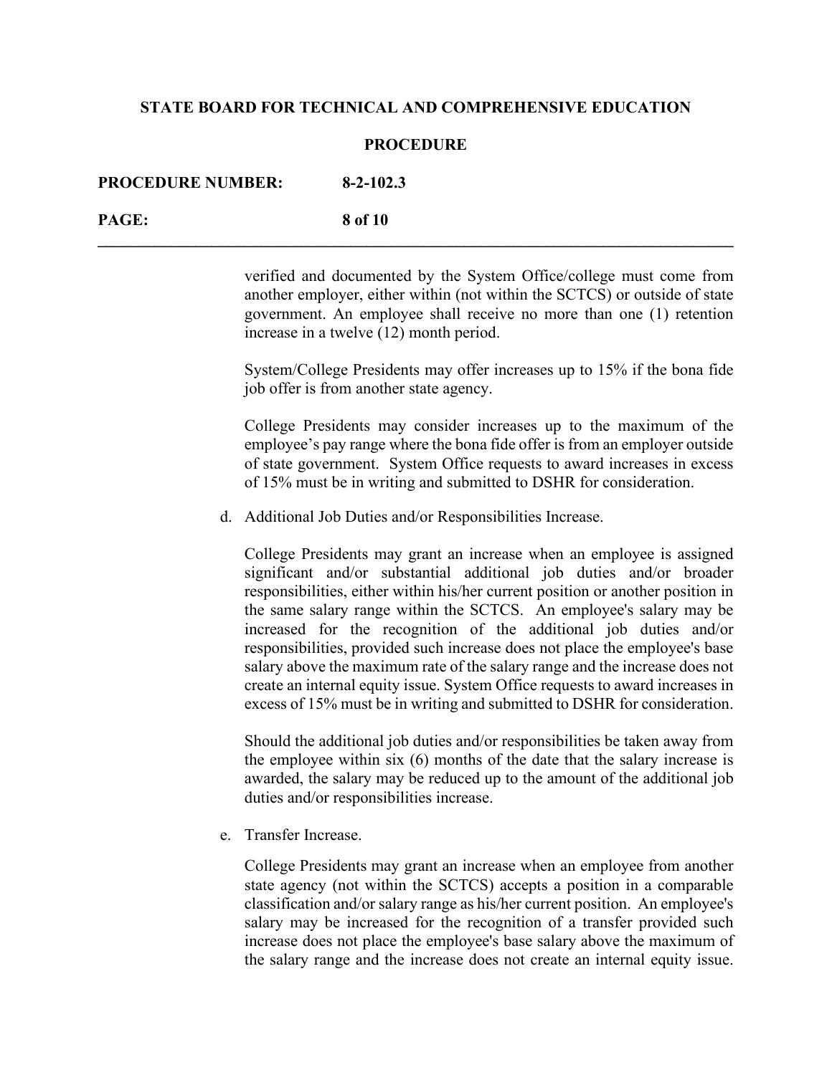#### **PROCEDURE**

| <b>PROCEDURE NUMBER:</b> | $8 - 2 - 102.3$ |
|--------------------------|-----------------|
| PAGE:                    | 8 of 10         |

verified and documented by the System Office/college must come from another employer, either within (not within the SCTCS) or outside of state government. An employee shall receive no more than one (1) retention increase in a twelve (12) month period.

System/College Presidents may offer increases up to 15% if the bona fide job offer is from another state agency.

College Presidents may consider increases up to the maximum of the employee's pay range where the bona fide offer is from an employer outside of state government. System Office requests to award increases in excess of 15% must be in writing and submitted to DSHR for consideration.

d. Additional Job Duties and/or Responsibilities Increase.

College Presidents may grant an increase when an employee is assigned significant and/or substantial additional job duties and/or broader responsibilities, either within his/her current position or another position in the same salary range within the SCTCS. An employee's salary may be increased for the recognition of the additional job duties and/or responsibilities, provided such increase does not place the employee's base salary above the maximum rate of the salary range and the increase does not create an internal equity issue. System Office requests to award increases in excess of 15% must be in writing and submitted to DSHR for consideration.

Should the additional job duties and/or responsibilities be taken away from the employee within six (6) months of the date that the salary increase is awarded, the salary may be reduced up to the amount of the additional job duties and/or responsibilities increase.

e. Transfer Increase.

College Presidents may grant an increase when an employee from another state agency (not within the SCTCS) accepts a position in a comparable classification and/or salary range as his/her current position. An employee's salary may be increased for the recognition of a transfer provided such increase does not place the employee's base salary above the maximum of the salary range and the increase does not create an internal equity issue.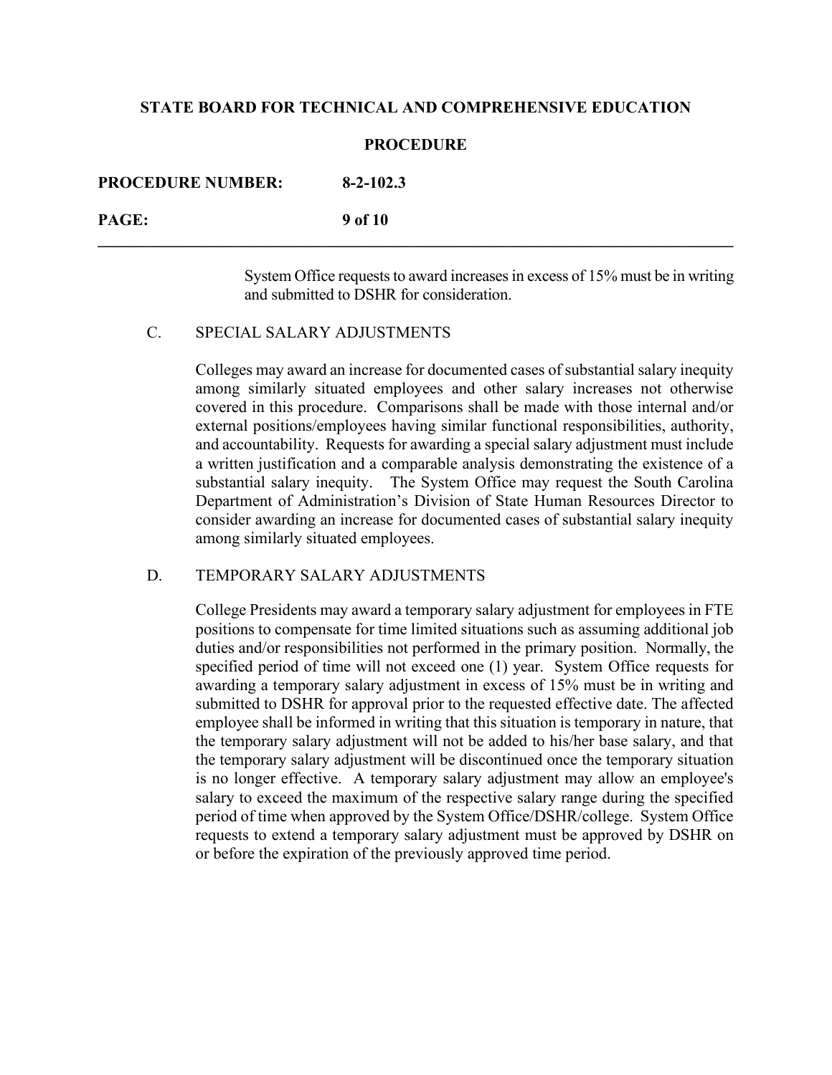#### **PROCEDURE**

**\_\_\_\_\_\_\_\_\_\_\_\_\_\_\_\_\_\_\_\_\_\_\_\_\_\_\_\_\_\_\_\_\_\_\_\_\_\_\_\_\_\_\_\_\_\_\_\_\_\_\_\_\_\_\_\_\_\_\_\_\_\_\_\_\_\_\_\_\_\_\_\_\_\_\_\_\_\_**

| <b>PROCEDURE NUMBER:</b>                     | $8 - 2 - 102.3$ |
|----------------------------------------------|-----------------|
| $\mathbf{P}\mathbf{A}\mathbf{G}\mathbf{F}$ . | 9 of 10         |

System Office requests to award increases in excess of 15% must be in writing and submitted to DSHR for consideration.

#### C. SPECIAL SALARY ADJUSTMENTS

Colleges may award an increase for documented cases of substantial salary inequity among similarly situated employees and other salary increases not otherwise covered in this procedure. Comparisons shall be made with those internal and/or external positions/employees having similar functional responsibilities, authority, and accountability. Requests for awarding a special salary adjustment must include a written justification and a comparable analysis demonstrating the existence of a substantial salary inequity. The System Office may request the South Carolina Department of Administration's Division of State Human Resources Director to consider awarding an increase for documented cases of substantial salary inequity among similarly situated employees.

## D. TEMPORARY SALARY ADJUSTMENTS

College Presidents may award a temporary salary adjustment for employees in FTE positions to compensate for time limited situations such as assuming additional job duties and/or responsibilities not performed in the primary position. Normally, the specified period of time will not exceed one (1) year. System Office requests for awarding a temporary salary adjustment in excess of 15% must be in writing and submitted to DSHR for approval prior to the requested effective date. The affected employee shall be informed in writing that this situation is temporary in nature, that the temporary salary adjustment will not be added to his/her base salary, and that the temporary salary adjustment will be discontinued once the temporary situation is no longer effective. A temporary salary adjustment may allow an employee's salary to exceed the maximum of the respective salary range during the specified period of time when approved by the System Office/DSHR/college. System Office requests to extend a temporary salary adjustment must be approved by DSHR on or before the expiration of the previously approved time period.